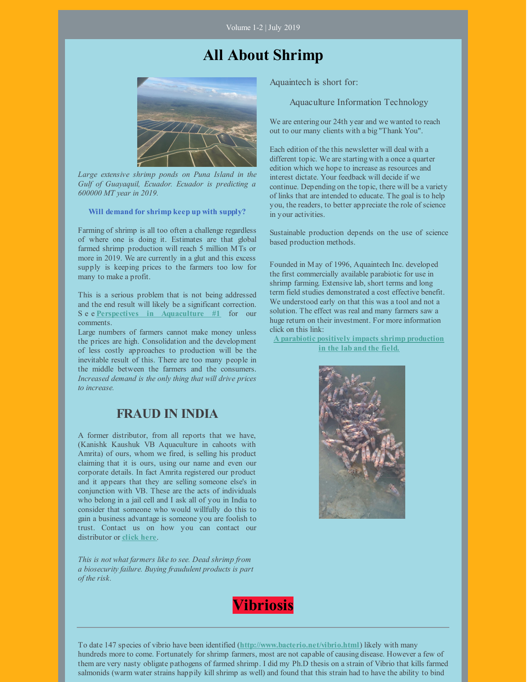Volume 1-2 | July 2019

# **All About Shrimp**



*Large extensive shrimp ponds on Puna Island in the Gulf of Guayaquil, Ecuador. Ecuador is predicting a 600000 MT year in 2019.*

**Will demand for shrimp keep up with supply?**

Farming of shrimp is all too often a challenge regardless of where one is doing it. Estimates are that global farmed shrimp production will reach 5 million MTs or more in 2019. We are currently in a glut and this excess supply is keeping prices to the farmers too low for many to make a profit.

This is a serious problem that is not being addressed and the end result will likely be a significant correction. S e e **Perspectives in [Aquaculture](https://www.bioremediationaquaculture.com/links-from-newsletter.html) #1** for our comments.

Large numbers of farmers cannot make money unless the prices are high. Consolidation and the development of less costly approaches to production will be the inevitable result of this. There are too many people in the middle between the farmers and the consumers. *Increased demand is the only thing that will drive prices to increase.*

# **FRAUD IN INDIA**

A former distributor, from all reports that we have, (Kanishk Kaushuk VB Aquaculture in cahoots with Amrita) of ours, whom we fired, is selling his product claiming that it is ours, using our name and even our corporate details. In fact Amrita registered our product and it appears that they are selling someone else's in conjunction with VB. These are the acts of individuals who belong in a jail cell and I ask all of you in India to consider that someone who would willfully do this to gain a business advantage is someone you are foolish to trust. Contact us on how you can contact our distributor or **[click](https://www.bioremediationaquaculture.com/distributors.html) here**.

*This is not what farmers like to see. Dead shrimp from a biosecurity failure. Buying fraudulent products is part of the risk.*



Aquaintech is short for:

Aquaculture Information Technology

We are entering our 24th year and we wanted to reach out to our many clients with a big"Thank You".

Each edition of the this newsletter will deal with a different topic. We are starting with a once a quarter edition which we hope to increase as resources and interest dictate. Your feedback will decide if we continue. Depending on the topic, there will be a variety of links that are intended to educate. The goal is to help you, the readers, to better appreciate the role of science in your activities.

Sustainable production depends on the use of science based production methods.

Founded in May of 1996, Aquaintech Inc. developed the first commercially available parabiotic for use in shrimp farming. Extensive lab, short terms and long term field studies demonstrated a cost effective benefit. We understood early on that this was a tool and not a solution. The effect was real and many farmers saw a huge return on their investment. For more information click on this link:

**A parabiotic positively impacts shrimp [production](https://www.bioremediationaquaculture.com/links-from-newsletter.html) in the lab and the field.**



To date 147 species of vibrio have been identified (**<http://www.bacterio.net/vibrio.html>**) likely with many hundreds more to come. Fortunately for shrimp farmers, most are not capable of causing disease. However a few of them are very nasty obligate pathogens of farmed shrimp. I did my Ph.D thesis on a strain of Vibrio that kills farmed salmonids (warm water strains happily kill shrimp as well) and found that this strain had to have the ability to bind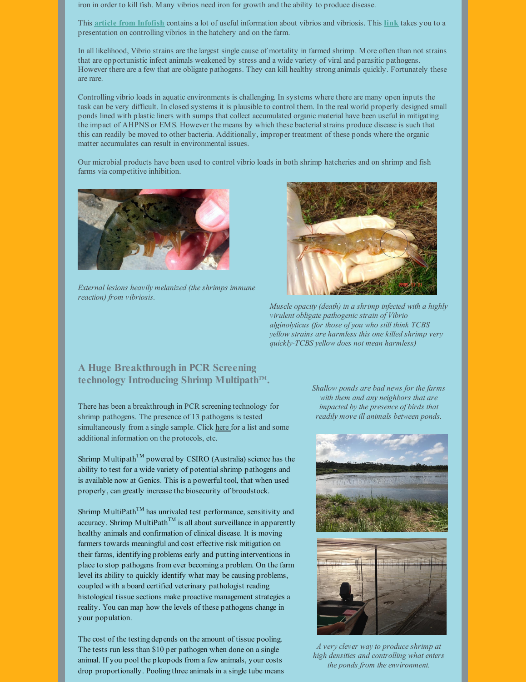iron in order to kill fish. Many vibrios need iron for growth and the ability to produce disease.

This **article from [Infofish](https://files.constantcontact.com/712fe0a9701/a24b07a6-d10f-4bf6-bf1d-7c1a2ff4163d.pdf)** contains a lot of useful information about vibrios and vibriosis. This **[link](https://www.bioremediationaquaculture.com/links-from-newsletter.html)** takes you to a presentation on controllingvibrios in the hatchery and on the farm.

In all likelihood, Vibrio strains are the largest single cause of mortality in farmed shrimp. More often than not strains that are opportunistic infect animals weakened by stress and a wide variety of viral and parasitic pathogens. However there are a few that are obligate pathogens. They can kill healthy stronganimals quickly. Fortunately these are rare.

Controlling vibrio loads in aquatic environments is challenging. In systems where there are many open inputs the task can be very difficult. In closed systems it is plausible to control them. In the real world properly designed small ponds lined with plastic liners with sumps that collect accumulated organic material have been useful in mitigating the impact of AHPNS or EMS. However the means by which these bacterial strains produce disease is such that this can readily be moved to other bacteria. Additionally, improper treatment of these ponds where the organic matter accumulates can result in environmental issues.

Our microbial products have been used to control vibrio loads in both shrimp hatcheries and on shrimp and fish farms via competitive inhibition.



*External lesions heavily melanized (the shrimps immune reaction) from vibriosis.*



*Muscle opacity (death) in a shrimp infected with a highly virulent obligate pathogenic strain of Vibrio alginolyticus (for those of you who still think TCBS yellow strains are harmless this one killed shrimp very quickly-TCBS yellow does not mean harmless)*

**A Huge Breakthrough in PCR Screening technology Introducing Shrimp Multipath TM .**

There has been a breakthrough in PCR screening technology for shrimp pathogens. The presence of 13 pathogens is tested simultaneously from a single sample. Click [here](https://files.constantcontact.com/712fe0a9701/ed2cccd2-3e03-47fd-987f-aeabeddbdc98.pdf) for a list and some additional information on the protocols, etc.

Shrimp Multipath<sup>TM</sup> powered by CSIRO (Australia) science has the ability to test for a wide variety of potential shrimp pathogens and is available now at Genics. This is a powerful tool, that when used properly, can greatly increase the biosecurity of broodstock.

Shrimp MultiPath<sup>TM</sup> has unrivaled test performance, sensitivity and accuracy. Shrimp MultiPath<sup>TM</sup> is all about surveillance in apparently healthy animals and confirmation of clinical disease. It is moving farmers towards meaningful and cost effective risk mitigation on their farms, identifying problems early and putting interventions in place to stop pathogens from ever becominga problem. On the farm level its ability to quickly identify what may be causing problems, coupled with a board certified veterinary pathologist reading histological tissue sections make proactive management strategies a reality. You can map how the levels of these pathogens change in your population.

The cost of the testing depends on the amount of tissue pooling. The tests run less than \$10 per pathogen when done on a single animal. If you pool the pleopods from a few animals, your costs drop proportionally. Pooling three animals in a single tube means *Shallow ponds are bad news for the farms with them and any neighbors that are impacted by the presence of birds that readily move ill animals between ponds.*





*A very clever way to produce shrimp at high densities and controlling what enters the ponds from the environment.*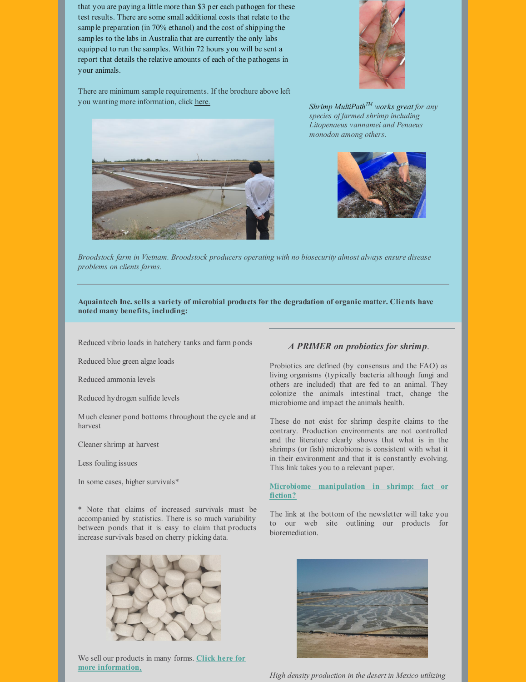that you are payinga little more than \$3 per each pathogen for these test results. There are some small additional costs that relate to the sample preparation (in 70% ethanol) and the cost of shipping the samples to the labs in Australia that are currently the only labs equipped to run the samples. Within 72 hours you will be sent a report that details the relative amounts of each of the pathogens in your animals.

There are minimum sample requirements. If the brochure above left you wanting more information, click [here.](https://files.constantcontact.com/712fe0a9701/1f1d0954-9c3a-4f8f-ac68-51f2d33da434.pdf)



*Shrimp MultiPath TM works great for any species of farmed shrimp including Litopenaeus vannamei and Penaeus monodon among others.*



*Broodstock farm in Vietnam. Broodstock producers operating with no biosecurity almost always ensure disease problems on clients farms.*

**Aquaintech Inc. sells a variety of microbial products for the degradation of organic matter. Clients have noted many benefits, including:**

Reduced vibrio loads in hatchery tanks and farm ponds

Reduced blue green algae loads

Reduced ammonia levels

Reduced hydrogen sulfide levels

Much cleaner pond bottoms throughout the cycle and at harvest

Cleaner shrimp at harvest

Less fouling issues

In some cases, higher survivals\*

\* Note that claims of increased survivals must be accompanied by statistics. There is so much variability between ponds that it is easy to claim that products increase survivals based on cherry pickingdata.

### *A PRIMER on probiotics for shrimp*.

Probiotics are defined (by consensus and the FAO) as living organisms (typically bacteria although fungi and others are included) that are fed to an animal. They colonize the animals intestinal tract, change the microbiome and impact the animals health.

These do not exist for shrimp despite claims to the contrary. Production environments are not controlled and the literature clearly shows that what is in the shrimps (or fish) microbiome is consistent with what it in their environment and that it is constantly evolving. This link takes you to a relevant paper.

**Microbiome [manipulation](https://www.bioremediationaquaculture.com/links-from-newsletter.html) in shrimp: fact or fiction?**

The link at the bottom of the newsletter will take you to our web site outlining our products for bioremediation.



We sell our products in many forms. **Click here for more [information](https://files.constantcontact.com/712fe0a9701/4b443452-e136-4fca-9583-257c61e41d3e.pdf)**[,](https://files.constantcontact.com/712fe0a9701/4b443452-e136-4fca-9583-257c61e41d3e.pdf)



*High density production in the desert in Mexico utilizing*